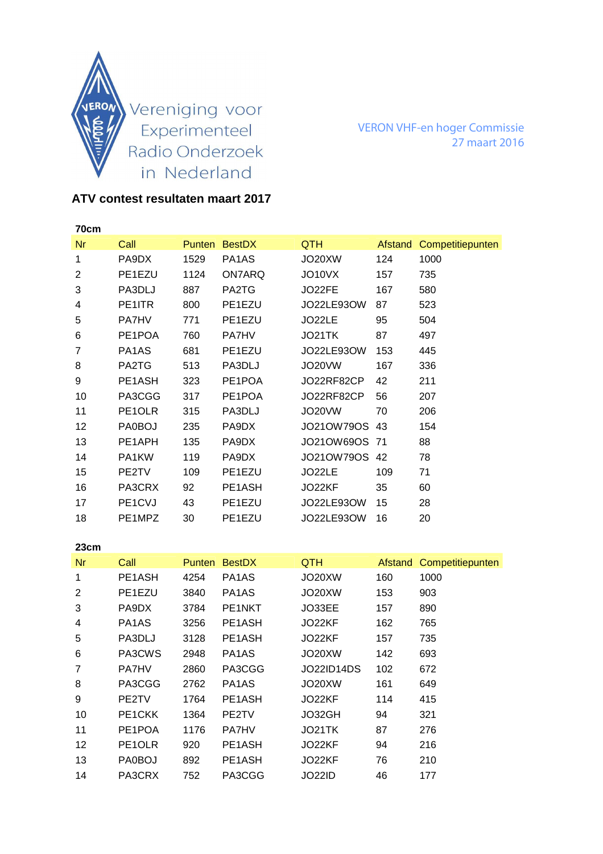

VERON VHF-en hoger Commissie 27 maart 2016

## **ATV contest resultaten maart 2017**

| 70cm |                                  |      |               |            |         |                  |
|------|----------------------------------|------|---------------|------------|---------|------------------|
| Nr   | Call                             |      | Punten BestDX | <b>QTH</b> | Afstand | Competitiepunten |
| 1    | PA9DX                            | 1529 | PA1AS         | JO20XW     | 124     | 1000             |
| 2    | PE1EZU                           | 1124 | ON7ARQ        | JO10VX     | 157     | 735              |
| 3    | PA3DLJ                           | 887  | PA2TG         | JO22FE     | 167     | 580              |
| 4    | PE1ITR                           | 800  | PE1EZU        | JO22LE93OW | 87      | 523              |
| 5    | <b>PA7HV</b>                     | 771  | PE1EZU        | JO22LE     | 95      | 504              |
| 6    | PE1POA                           | 760  | <b>PA7HV</b>  | JO21TK     | 87      | 497              |
| 7    | PA <sub>1</sub> A <sub>S</sub>   | 681  | PE1EZU        | JO22LE93OW | 153     | 445              |
| 8    | PA2TG                            | 513  | PA3DLJ        | JO20VW     | 167     | 336              |
| 9    | PE1ASH                           | 323  | PE1POA        | JO22RF82CP | 42      | 211              |
| 10   | PA3CGG                           | 317  | PE1POA        | JO22RF82CP | 56      | 207              |
| 11   | PE1OLR                           | 315  | PA3DLJ        | JO20VW     | 70      | 206              |
| 12   | PA0BOJ                           | 235  | PA9DX         | JO21OW79OS | 43      | 154              |
| 13   | PE1APH                           | 135  | PA9DX         | JO21OW69OS | 71      | 88               |
| 14   | PA1KW                            | 119  | PA9DX         | JO21OW79OS | 42      | 78               |
| 15   | PE2TV                            | 109  | PE1EZU        | JO22LE     | 109     | 71               |
| 16   | PA3CRX                           | 92   | PE1ASH        | JO22KF     | 35      | 60               |
| 17   | PE <sub>1</sub> C <sub>V</sub> J | 43   | PE1EZU        | JO22LE93OW | 15      | 28               |
| 18   | PE1MPZ                           | 30   | PE1EZU        | JO22LE93OW | 16      | 20               |
|      |                                  |      |               |            |         |                  |

| 23cm           |                                |               |               |            |         |                  |
|----------------|--------------------------------|---------------|---------------|------------|---------|------------------|
| <b>Nr</b>      | Call                           | <b>Punten</b> | <b>BestDX</b> | QTH        | Afstand | Competitiepunten |
| 1              | PE1ASH                         | 4254          | PA1AS         | JO20XW     | 160     | 1000             |
| $\overline{2}$ | PE1EZU                         | 3840          | PA1AS         | JO20XW     | 153     | 903              |
| 3              | PA9DX                          | 3784          | PE1NKT        | JO33EE     | 157     | 890              |
| 4              | PA <sub>1</sub> A <sub>S</sub> | 3256          | PE1ASH        | JO22KF     | 162     | 765              |
| 5              | PA3DLJ                         | 3128          | PE1ASH        | JO22KF     | 157     | 735              |
| 6              | PA3CWS                         | 2948          | PA1AS         | JO20XW     | 142     | 693              |
| 7              | <b>PA7HV</b>                   | 2860          | PA3CGG        | JO22ID14DS | 102     | 672              |
| 8              | PA3CGG                         | 2762          | PA1AS         | JO20XW     | 161     | 649              |
| 9              | PE2TV                          | 1764          | PE1ASH        | JO22KF     | 114     | 415              |
| 10             | PE <sub>1</sub> CKK            | 1364          | PE2TV         | JO32GH     | 94      | 321              |
| 11             | PE1POA                         | 1176          | <b>PA7HV</b>  | JO21TK     | 87      | 276              |
| 12             | PE1OLR                         | 920           | PE1ASH        | JO22KF     | 94      | 216              |
| 13             | PA0BOJ                         | 892           | PE1ASH        | JO22KF     | 76      | 210              |
| 14             | PA3CRX                         | 752           | PA3CGG        | JO22ID     | 46      | 177              |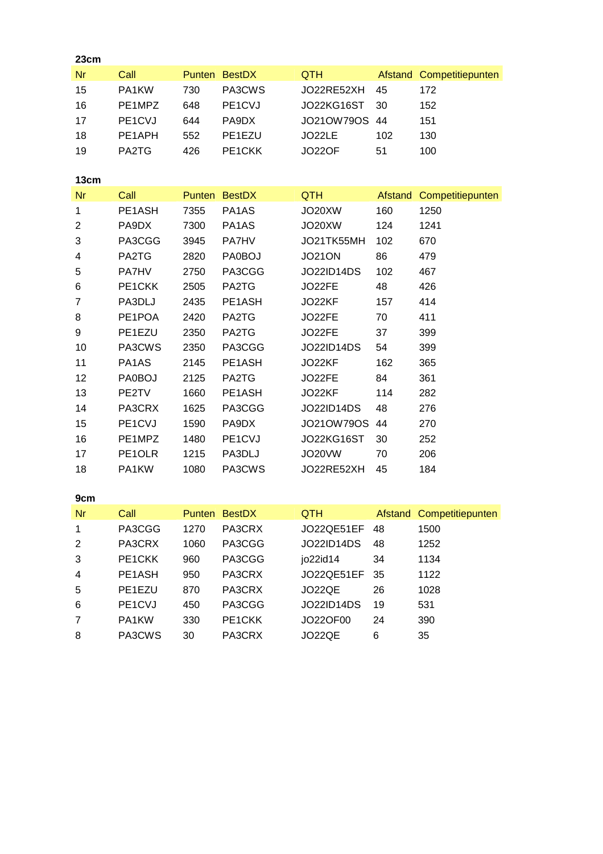| 23cm           |               |      |               |                   |         |                          |
|----------------|---------------|------|---------------|-------------------|---------|--------------------------|
| <b>Nr</b>      | Call          |      | Punten BestDX | <b>QTH</b>        |         | Afstand Competitiepunten |
| 15             | PA1KW         | 730  | PA3CWS        | JO22RE52XH        | 45      | 172                      |
| 16             | PE1MPZ        | 648  | PE1CVJ        | JO22KG16ST        | 30      | 152                      |
| 17             | PE1CVJ        | 644  | PA9DX         | JO21OW79OS        | 44      | 151                      |
| 18             | PE1APH        | 552  | PE1EZU        | JO22LE            | 102     | 130                      |
| 19             | PA2TG         | 426  | PE1CKK        | <b>JO22OF</b>     | 51      | 100                      |
|                |               |      |               |                   |         |                          |
| 13cm           |               |      |               |                   |         |                          |
| <b>Nr</b>      | Call          |      | Punten BestDX | <b>QTH</b>        | Afstand | Competitiepunten         |
| 1              | PE1ASH        | 7355 | PA1AS         | JO20XW            | 160     | 1250                     |
| $\overline{2}$ | PA9DX         | 7300 | PA1AS         | JO20XW            | 124     | 1241                     |
| 3              | PA3CGG        | 3945 | <b>PA7HV</b>  | JO21TK55MH        | 102     | 670                      |
| 4              | PA2TG         | 2820 | PA0BOJ        | <b>JO21ON</b>     | 86      | 479                      |
| 5              | PA7HV         | 2750 | PA3CGG        | <b>JO22ID14DS</b> | 102     | 467                      |
| 6              | PE1CKK        | 2505 | PA2TG         | JO22FE            | 48      | 426                      |
| 7              | PA3DLJ        | 2435 | PE1ASH        | JO22KF            | 157     | 414                      |
| 8              | PE1POA        | 2420 | PA2TG         | JO22FE            | 70      | 411                      |
| 9              | PE1EZU        | 2350 | PA2TG         | JO22FE            | 37      | 399                      |
| 10             | PA3CWS        | 2350 | PA3CGG        | JO22ID14DS        | 54      | 399                      |
| 11             | PA1AS         | 2145 | PE1ASH        | JO22KF            | 162     | 365                      |
| 12             | <b>PA0BOJ</b> | 2125 | PA2TG         | JO22FE            | 84      | 361                      |
| 13             | PE2TV         | 1660 | PE1ASH        | JO22KF            | 114     | 282                      |
| 14             | PA3CRX        | 1625 | PA3CGG        | JO22ID14DS        | 48      | 276                      |
| 15             | PE1CVJ        | 1590 | PA9DX         | JO21OW79OS        | 44      | 270                      |
| 16             | PE1MPZ        | 1480 | PE1CVJ        | JO22KG16ST        | 30      | 252                      |
| 17             | PE1OLR        | 1215 | PA3DLJ        | JO20VW            | 70      | 206                      |
| 18             | PA1KW         | 1080 | PA3CWS        | JO22RE52XH        | 45      | 184                      |
|                |               |      |               |                   |         |                          |
| 9cm            |               |      |               |                   |         |                          |
| Nr             | Call          |      | Punten BestDX | <b>QTH</b>        |         | Afstand Competitiepunten |
| 1              | PA3CGG        | 1270 | PA3CRX        | JO22QE51EF        | 48      | 1500                     |
| 2              | PA3CRX        | 1060 | PA3CGG        | <b>JO22ID14DS</b> | 48      | 1252                     |
| 3              | PE1CKK        | 960  | PA3CGG        | jo22id14          | 34      | 1134                     |
| 4              | PE1ASH        | 950  | PA3CRX        | JO22QE51EF        | 35      | 1122                     |
| 5              | PE1EZU        | 870  | PA3CRX        | JO22QE            | 26      | 1028                     |
| 6              | PE1CVJ        | 450  | PA3CGG        | <b>JO22ID14DS</b> | 19      | 531                      |
| $\overline{7}$ | PA1KW         | 330  | PE1CKK        | JO22OF00          | 24      | 390                      |
| 8              | PA3CWS        | 30   | PA3CRX        | JO22QE            | 6       | 35                       |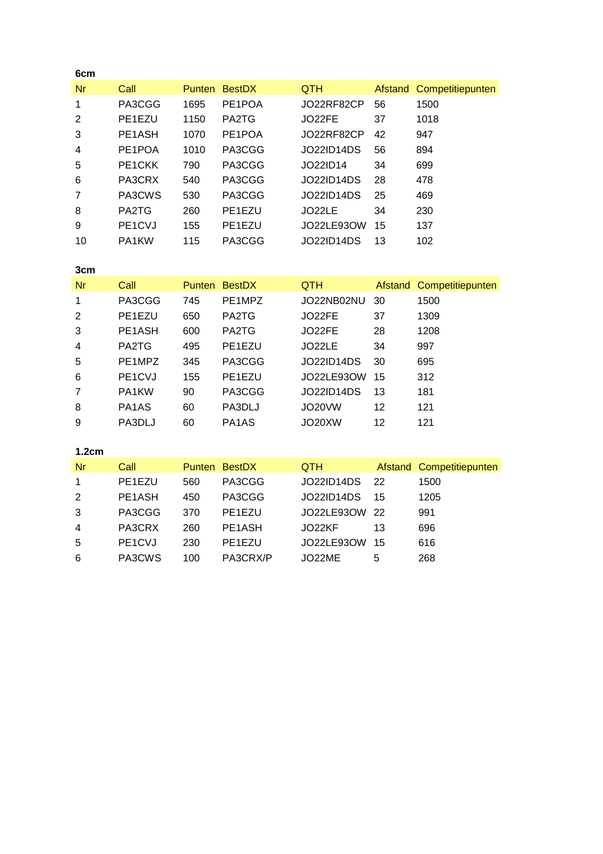| 6cm |                                  |               |               |            |    |                          |
|-----|----------------------------------|---------------|---------------|------------|----|--------------------------|
| Nr  | Call                             | <b>Punten</b> | <b>BestDX</b> | <b>QTH</b> |    | Afstand Competitiepunten |
| 1   | PA3CGG                           | 1695          | PE1POA        | JO22RF82CP | 56 | 1500                     |
| 2   | PE1EZU                           | 1150          | PA2TG         | JO22FE     | 37 | 1018                     |
| 3   | PE <sub>1</sub> A <sub>SH</sub>  | 1070          | PE1POA        | JO22RF82CP | 42 | 947                      |
| 4   | PE1POA                           | 1010          | PA3CGG        | JO22ID14DS | 56 | 894                      |
| 5   | PE <sub>1</sub> CKK              | 790           | PA3CGG        | JO22ID14   | 34 | 699                      |
| 6   | PA3CRX                           | 540           | PA3CGG        | JO22ID14DS | 28 | 478                      |
| 7   | PA3CWS                           | 530           | PA3CGG        | JO22ID14DS | 25 | 469                      |
| 8   | PA2TG                            | 260           | PE1EZU        | JO22LE     | 34 | 230                      |
| 9   | PE <sub>1</sub> C <sub>V</sub> J | 155           | PE1EZU        | JO22LE93OW | 15 | 137                      |
| 10  | PA1KW                            | 115           | PA3CGG        | JO22ID14DS | 13 | 102                      |

| 3cm |                                  |               |               |                   |    |                          |
|-----|----------------------------------|---------------|---------------|-------------------|----|--------------------------|
| Nr  | Call                             | <b>Punten</b> | <b>BestDX</b> | <b>QTH</b>        |    | Afstand Competitiepunten |
| 1   | PA3CGG                           | 745           | PE1MPZ        | JO22NB02NU        | 30 | 1500                     |
| 2   | PE1EZU                           | 650           | PA2TG         | JO22FE            | 37 | 1309                     |
| 3   | PE1ASH                           | 600           | PA2TG         | JO22FE            | 28 | 1208                     |
| 4   | PA2TG                            | 495           | PE1EZU        | JO22LE            | 34 | 997                      |
| 5   | PE1MPZ                           | 345           | PA3CGG        | <b>JO22ID14DS</b> | 30 | 695                      |
| 6   | PE <sub>1</sub> C <sub>V</sub> J | 155           | PE1EZU        | JO22LE93OW        | 15 | 312                      |
| 7   | PA1KW                            | 90            | PA3CGG        | JO22ID14DS        | 13 | 181                      |
| 8   | PA <sub>1</sub> A <sub>S</sub>   | 60            | PA3DLJ        | JO20VW            | 12 | 121                      |
| 9   | PA3DLJ                           | 60            | PA1AS         | JO20XW            | 12 | 121                      |

**1.2cm** 

| Nr             | Call                             |     | <b>Punten BestDX</b>            | <b>QTH</b>    |      | Afstand Competitiepunten |
|----------------|----------------------------------|-----|---------------------------------|---------------|------|--------------------------|
| 1              | PE1EZU                           | 560 | PA3CGG                          | JO22ID14DS 22 |      | 1500                     |
| 2              | PE1ASH                           | 450 | PA3CGG                          | JO22ID14DS    | 15   | 1205                     |
| -3             | PA3CGG                           | 370 | PE <sub>1</sub> E <sub>ZU</sub> | JO22LE93OW 22 |      | 991                      |
| $\overline{4}$ | PA3CRX                           | 260 | PE1ASH                          | JO22KF        | 13   | 696                      |
| -5             | PE <sub>1</sub> C <sub>V</sub> J | 230 | PE1EZU                          | JO22LE93OW    | - 15 | 616                      |
| 6              | PA3CWS                           | 100 | PA3CRX/P                        | JO22ME        | 5    | 268                      |